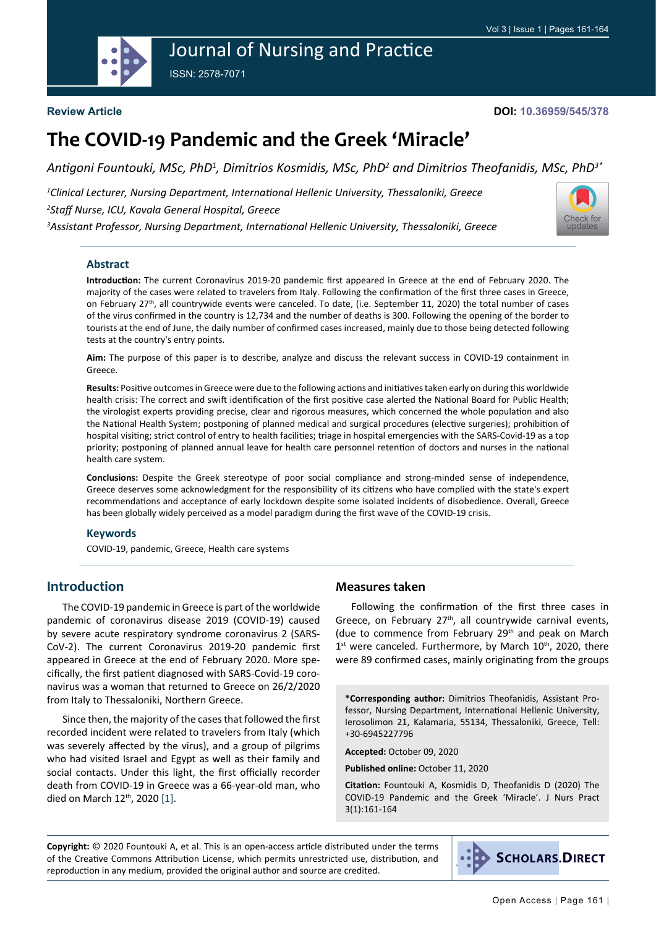# Journal of Nursing and Practice

ISSN: 2578-7071



#### **Review Article**

#### **DOI: 10.36959/545/378**

# **The COVID-19 Pandemic and the Greek 'Miracle'**

Antigoni Fountouki, MSc, PhD<sup>1</sup>, Dimitrios Kosmidis, MSc, PhD<sup>2</sup> and Dimitrios Theofanidis, MSc, PhD<sup>3\*</sup>

*1 Clinical Lecturer, Nursing Department, International Hellenic University, Thessaloniki, Greece 2 Staff Nurse, ICU, Kavala General Hospital, Greece 3 Assistant Professor, Nursing Department, International Hellenic University, Thessaloniki, Greece*



#### **Abstract**

**Introduction:** The current Coronavirus 2019-20 pandemic first appeared in Greece at the end of February 2020. The majority of the cases were related to travelers from Italy. Following the confirmation of the first three cases in Greece, on February 27<sup>th</sup>, all countrywide events were canceled. To date, (i.e. September 11, 2020) the total number of cases of the virus confirmed in the country is 12,734 and the number of deaths is 300. Following the opening of the border to tourists at the end of June, the daily number of confirmed cases increased, mainly due to those being detected following tests at the country's entry points.

**Aim:** The purpose of this paper is to describe, analyze and discuss the relevant success in COVID-19 containment in Greece.

**Results:** Positive outcomes in Greece were due to the following actions and initiatives taken early on during this worldwide health crisis: The correct and swift identification of the first positive case alerted the National Board for Public Health; the virologist experts providing precise, clear and rigorous measures, which concerned the whole population and also the National Health System; postponing of planned medical and surgical procedures (elective surgeries); prohibition of hospital visiting; strict control of entry to health facilities; triage in hospital emergencies with the SARS-Covid-19 as a top priority; postponing of planned annual leave for health care personnel retention of doctors and nurses in the national health care system.

**Conclusions:** Despite the Greek stereotype of poor social compliance and strong-minded sense of independence, Greece deserves some acknowledgment for the responsibility of its citizens who have complied with the state's expert recommendations and acceptance of early lockdown despite some isolated incidents of disobedience. Overall, Greece has been globally widely perceived as a model paradigm during the first wave of the COVID-19 crisis.

#### **Keywords**

COVID-19, pandemic, Greece, Health care systems

# **Introduction**

The COVID-19 pandemic in Greece is part of the [worldwide](https://en.wikipedia.org/wiki/COVID-19_pandemic)  [pandemic](https://en.wikipedia.org/wiki/COVID-19_pandemic) of coronavirus disease 2019 (COVID-19) caused by severe acute respiratory syndrome coronavirus 2 (SARS-CoV-2). The current Coronavirus 2019-20 pandemic first appeared in Greece at the end of February 2020. More specifically, the first patient diagnosed with SARS-Covid-19 coronavirus was a woman that returned to Greece on 26/2/2020 from Italy to Thessaloniki, Northern Greece.

Since then, the majority of the cases that followed the first recorded incident were related to travelers from Italy (which was severely affected by the virus), and a group of pilgrims who had visited Israel and Egypt as well as their family and social contacts. Under this light, the first officially recorder death from COVID-19 in Greece was a 66-year-old man, who died on March 12<sup>th</sup>, 2020 [\[1](#page-3-0)].

### **Measures taken**

Following the confirmation of the first three cases in Greece, on February 27<sup>th</sup>, all countrywide carnival events, (due to commence from February 29th and peak on March  $1<sup>st</sup>$  were canceled. Furthermore, by March  $10<sup>th</sup>$ , 2020, there were 89 confirmed cases, mainly originating from the groups

**\*Corresponding author:** Dimitrios Theofanidis, Assistant Professor, Nursing Department, International Hellenic University, Ierosolimon 21, Kalamaria, 55134, Thessaloniki, Greece, Tell: +30-6945227796

**Accepted:** October 09, 2020

**Published online:** October 11, 2020

**Citation:** Fountouki A, Kosmidis D, Theofanidis D (2020) The COVID-19 Pandemic and the Greek 'Miracle'. J Nurs Pract 3(1):161-164

**Copyright:** © 2020 Fountouki A, et al. This is an open-access article distributed under the terms of the Creative Commons Attribution License, which permits unrestricted use, distribution, and reproduction in any medium, provided the original author and source are credited.

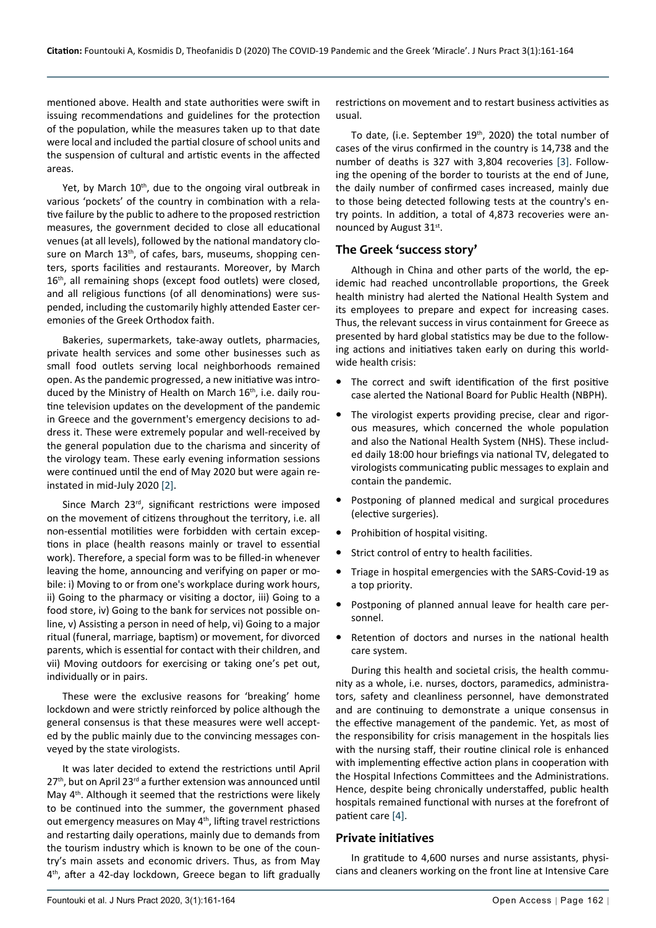mentioned above. Health and state authorities were swift in issuing recommendations and guidelines for the protection of the population, while the measures taken up to that date were local and included the partial closure of school units and the suspension of cultural and artistic events in the affected areas.

Yet, by March 10<sup>th</sup>, due to the ongoing viral outbreak in various 'pockets' of the country in combination with a relative failure by the public to adhere to the proposed restriction measures, the government decided to close all educational venues (at all levels), followed by the national mandatory closure on March 13<sup>th</sup>, of cafes, bars, museums, shopping centers, sports facilities and restaurants. Moreover, by March 16<sup>th</sup>, all remaining shops (except food outlets) were closed, and all religious functions (of all denominations) were suspended, including the customarily highly attended Easter ceremonies of the Greek Orthodox faith.

Bakeries, supermarkets, take-away outlets, pharmacies, private health services and some other businesses such as small food outlets serving local neighborhoods remained open. As the pandemic progressed, a new initiative was introduced by the Ministry of Health on March 16<sup>th</sup>, i.e. daily routine television updates on the development of the pandemic in Greece and the government's emergency decisions to address it. These were extremely popular and well-received by the general population due to the charisma and sincerity of the virology team. These early evening information sessions were continued until the end of May 2020 but were again reinstated in mid-July 2020 [\[2\]](#page-3-1).

Since March 23rd, significant restrictions were imposed on the movement of citizens throughout the territory, i.e. all non-essential motilities were forbidden with certain exceptions in place (health reasons mainly or travel to essential work). Therefore, a special form was to be filled-in whenever leaving the home, announcing and verifying on paper or mobile: i) Moving to or from one's workplace during work hours, ii) Going to the pharmacy or visiting a doctor, iii) Going to a food store, iv) Going to the bank for services not possible online, v) Assisting a person in need of help, vi) Going to a major ritual (funeral, marriage, baptism) or movement, for divorced parents, which is essential for contact with their children, and vii) Moving outdoors for exercising or taking one's pet out, individually or in pairs.

These were the exclusive reasons for 'breaking' home lockdown and were strictly reinforced by police although the general consensus is that these measures were well accepted by the public mainly due to the convincing messages conveyed by the state virologists.

It was later decided to extend the restrictions until April  $27<sup>th</sup>$ , but on April 23<sup>rd</sup> a further extension was announced until May 4<sup>th</sup>. Although it seemed that the restrictions were likely to be continued into the summer, the government phased out emergency measures on May 4<sup>th</sup>, lifting travel restrictions and restarting daily operations, mainly due to demands from the tourism industry which is known to be one of the country's main assets and economic drivers. Thus, as from May 4<sup>th</sup>, after a 42-day lockdown, Greece began to lift gradually

restrictions on movement and to restart business activities as usual.

To date, (i.e. September 19<sup>th</sup>, 2020) the total number of cases of the virus confirmed in the country is 14,738 and the number of deaths is 327 with 3,804 recoveries [[3\]](#page-3-2). Following the opening of the border to tourists at the end of June, the daily number of confirmed cases increased, mainly due to those being detected following tests at the country's entry points. In addition, a total of 4,873 recoveries were announced by August 31st.

### **The Greek 'success story'**

Although in China and other parts of the world, the epidemic had reached uncontrollable proportions, the Greek health ministry had alerted the National Health System and its employees to prepare and expect for increasing cases. Thus, the relevant success in virus containment for Greece as presented by hard global statistics may be due to the following actions and initiatives taken early on during this worldwide health crisis:

- The correct and swift identification of the first positive case alerted the National Board for Public Health (NBPH).
- The virologist experts providing precise, clear and rigorous measures, which concerned the whole population and also the National Health System (NHS). These included daily 18:00 hour briefings via national TV, delegated to virologists communicating public messages to explain and contain the pandemic.
- **•**  Postponing of planned medical and surgical procedures (elective surgeries).
- Prohibition of hospital visiting.
- **•**  Strict control of entry to health facilities.
- Triage in hospital emergencies with the SARS-Covid-19 as a top priority.
- **•**  Postponing of planned annual leave for health care personnel.
- **•**  Retention of doctors and nurses in the national health care system.

During this health and societal crisis, the health community as a whole, i.e. nurses, doctors, paramedics, administrators, safety and cleanliness personnel, have demonstrated and are continuing to demonstrate a unique consensus in the effective management of the pandemic. Yet, as most of the responsibility for crisis management in the hospitals lies with the nursing staff, their routine clinical role is enhanced with implementing effective action plans in cooperation with the Hospital Infections Committees and the Administrations. Hence, despite being chronically understaffed, public health hospitals remained functional with nurses at the forefront of patient care [[4](#page-3-3)].

### **Private initiatives**

In gratitude to 4,600 nurses and nurse assistants, physicians and cleaners working on the front line at Intensive Care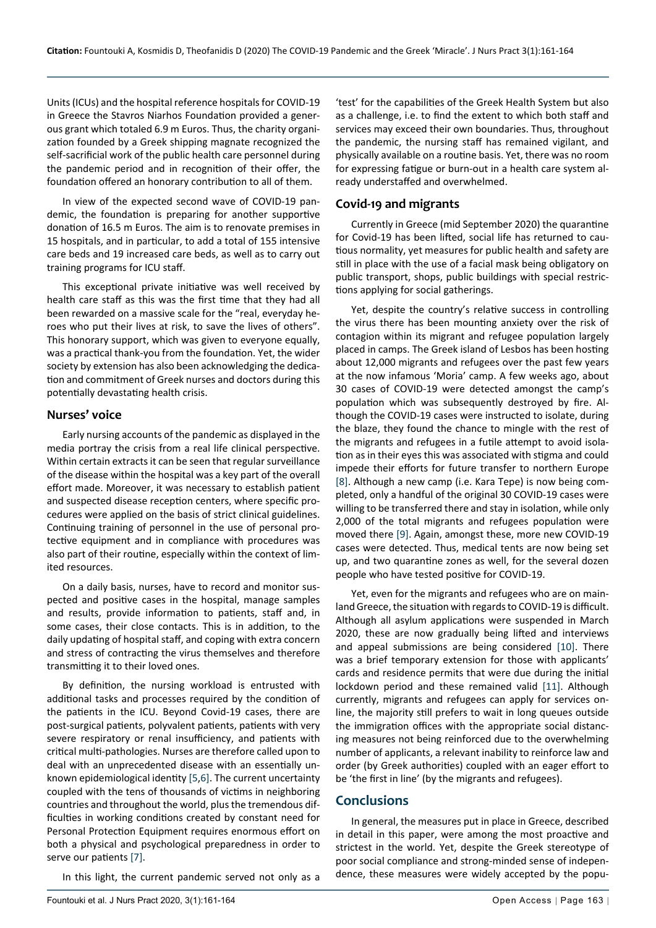Units (ICUs) and the hospital reference hospitals for COVID-19 in Greece the Stavros Niarhos Foundation provided a generous grant which totaled 6.9 m Euros. Thus, the charity organization founded by a Greek shipping magnate recognized the self-sacrificial work of the public health care personnel during the pandemic period and in recognition of their offer, the foundation offered an honorary contribution to all of them.

In view of the expected second wave of COVID-19 pandemic, the foundation is preparing for another supportive donation of 16.5 m Euros. The aim is to renovate premises in 15 hospitals, and in particular, to add a total of 155 intensive care beds and 19 increased care beds, as well as to carry out training programs for ICU staff.

This exceptional private initiative was well received by health care staff as this was the first time that they had all been rewarded on a massive scale for the "real, everyday heroes who put their lives at risk, to save the lives of others". This honorary support, which was given to everyone equally, was a practical thank-you from the foundation. Yet, the wider society by extension has also been acknowledging the dedication and commitment of Greek nurses and doctors during this potentially devastating health crisis.

#### **Nurses' voice**

Early nursing accounts of the pandemic as displayed in the media portray the crisis from a real life clinical perspective. Within certain extracts it can be seen that regular surveillance of the disease within the hospital was a key part of the overall effort made. Moreover, it was necessary to establish patient and suspected disease reception centers, where specific procedures were applied on the basis of strict clinical guidelines. Continuing training of personnel in the use of personal protective equipment and in compliance with procedures was also part of their routine, especially within the context of limited resources.

On a daily basis, nurses, have to record and monitor suspected and positive cases in the hospital, manage samples and results, provide information to patients, staff and, in some cases, their close contacts. This is in addition, to the daily updating of hospital staff, and coping with extra concern and stress of contracting the virus themselves and therefore transmitting it to their loved ones.

By definition, the nursing workload is entrusted with additional tasks and processes required by the condition of the patients in the ICU. Beyond Covid-19 cases, there are post-surgical patients, polyvalent patients, patients with very severe respiratory or renal insufficiency, and patients with critical multi-pathologies. Nurses are therefore called upon to deal with an unprecedented disease with an essentially unknown epidemiological identity [\[5](#page-3-8),[6](#page-3-9)]. The current uncertainty coupled with the tens of thousands of victims in neighboring countries and throughout the world, plus the tremendous difficulties in working conditions created by constant need for Personal Protection Equipment requires enormous effort on both a physical and psychological preparedness in order to serve our patients [\[7](#page-3-10)].

In this light, the current pandemic served not only as a

'test' for the capabilities of the Greek Health System but also as a challenge, i.e. to find the extent to which both staff and services may exceed their own boundaries. Thus, throughout the pandemic, the nursing staff has remained vigilant, and physically available on a routine basis. Yet, there was no room for expressing fatigue or burn-out in a health care system already understaffed and overwhelmed.

### **Covid-19 and migrants**

Currently in Greece (mid September 2020) the quarantine for Covid-19 has been lifted, social life has returned to cautious normality, yet measures for public health and safety are still in place with the use of a facial mask being obligatory on public transport, shops, public buildings with special restrictions applying for social gatherings.

Yet, despite the country's relative success in controlling the virus there has been mounting anxiety over the risk of contagion within its migrant and refugee population largely placed in camps. The Greek island of Lesbos has been hosting about 12,000 migrants and refugees over the past few years at the now infamous 'Moria' camp. A few weeks ago, about 30 cases of COVID-19 were detected amongst the camp's population which was subsequently destroyed by fire. Although the COVID-19 cases were instructed to isolate, during the blaze, they found the chance to mingle with the rest of the migrants and refugees in a futile attempt to avoid isolation as in their eyes this was associated with stigma and could impede their efforts for future transfer to northern Europe [[8\]](#page-3-4). Although a new camp (i.e. Kara Tepe) is now being completed, only a handful of the original 30 COVID-19 cases were willing to be transferred there and stay in isolation, while only 2,000 of the total migrants and refugees population were moved there [[9\]](#page-3-5). Again, amongst these, more new COVID-19 cases were detected. Thus, medical tents are now being set up, and two quarantine zones as well, for the several dozen people who have tested positive for COVID-19.

Yet, even for the migrants and refugees who are on mainland Greece, the situation with regards to COVID-19 is difficult. Although all asylum applications were suspended in March 2020, these are now gradually being lifted and interviews and appeal submissions are being considered [[10\]](#page-3-6). There was a brief temporary extension for those with applicants' cards and residence permits that were due during the initial lockdown period and these remained valid [[11\]](#page-3-7). Although currently, migrants and refugees can apply for services online, the majority still prefers to wait in long queues outside the immigration offices with the appropriate social distancing measures not being reinforced due to the overwhelming number of applicants, a relevant inability to reinforce law and order (by Greek authorities) coupled with an eager effort to be 'the first in line' (by the migrants and refugees).

## **Conclusions**

In general, the measures put in place in Greece, described in detail in this paper, were among the most proactive and strictest in the world. Yet, despite the Greek stereotype of poor social compliance and strong-minded sense of independence, these measures were widely accepted by the popu